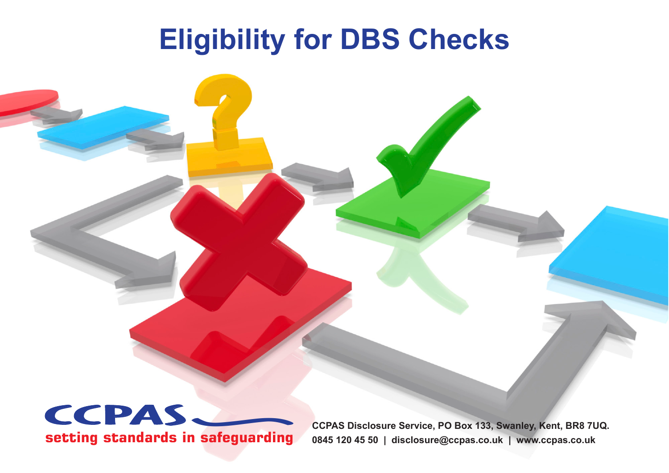# **Eligibility for DBS Checks**



**CCPAS Disclosure Service, PO Box 133, Swanley, Kent, BR8 7UQ. 0845 120 45 50 | disclosure@ccpas.co.uk | www.ccpas.co.uk**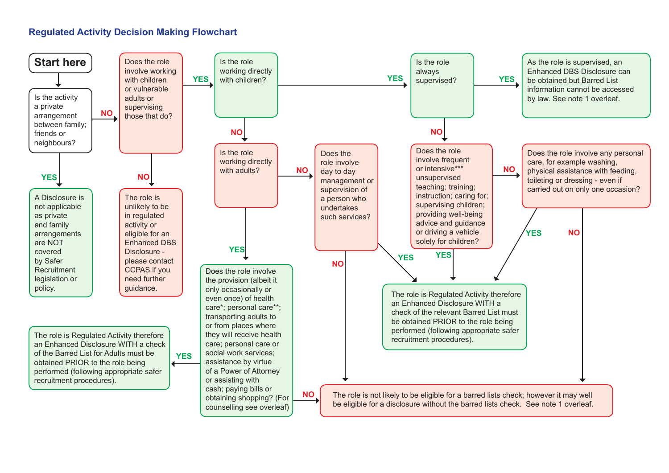## **Regulated Activity Decision Making Flowchart**

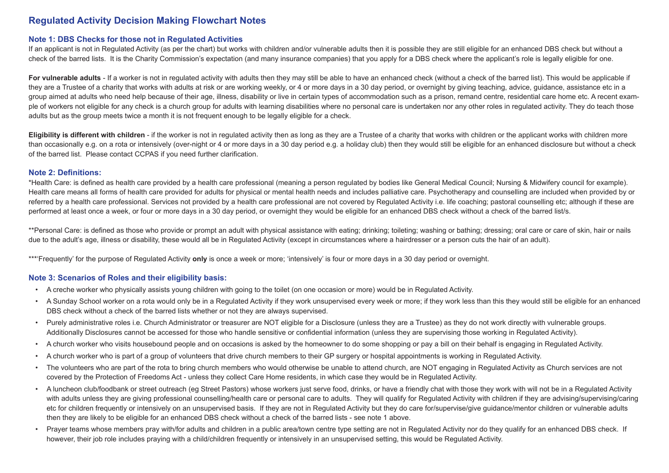### **Regulated Activity Decision Making Flowchart Notes**

#### **Note 1: DBS Checks for those not in Regulated Activities**

If an applicant is not in Regulated Activity (as per the chart) but works with children and/or vulnerable adults then it is possible they are still eligible for an enhanced DBS check but without a check of the barred lists. It is the Charity Commission's expectation (and many insurance companies) that you apply for a DBS check where the applicant's role is legally eligible for one.

For vulnerable adults - If a worker is not in regulated activity with adults then they may still be able to have an enhanced check (without a check of the barred list). This would be applicable if they are a Trustee of a charity that works with adults at risk or are working weekly, or 4 or more days in a 30 day period, or overnight by giving teaching, advice, guidance, assistance etc in a group aimed at adults who need help because of their age, illness, disability or live in certain types of accommodation such as a prison, remand centre, residential care home etc. A recent example of workers not eligible for any check is a church group for adults with learning disabilities where no personal care is undertaken nor any other roles in regulated activity. They do teach those adults but as the group meets twice a month it is not frequent enough to be legally eligible for a check.

**Eligibility is different with children** - if the worker is not in regulated activity then as long as they are a Trustee of a charity that works with children or the applicant works with children more than occasionally e.g. on a rota or intensively (over-night or 4 or more days in a 30 day period e.g. a holiday club) then they would still be eligible for an enhanced disclosure but without a check of the barred list. Please contact CCPAS if you need further clarification.

#### **Note 2: Definitions:**

\*Health Care: is defined as health care provided by a health care professional (meaning a person regulated by bodies like General Medical Council; Nursing & Midwifery council for example). Health care means all forms of health care provided for adults for physical or mental health needs and includes palliative care. Psychotherapy and counselling are included when provided by or referred by a health care professional. Services not provided by a health care professional are not covered by Regulated Activity i.e. life coaching; pastoral counselling etc; although if these are performed at least once a week, or four or more days in a 30 day period, or overnight they would be eligible for an enhanced DBS check without a check of the barred list/s.

\*\*Personal Care: is defined as those who provide or prompt an adult with physical assistance with eating; drinking; toileting; washing or bathing; dressing; oral care or care of skin, hair or nails due to the adult's age, illness or disability, these would all be in Regulated Activity (except in circumstances where a hairdresser or a person cuts the hair of an adult).

\*\*\*'Frequently' for the purpose of Regulated Activity **only** is once a week or more; 'intensively' is four or more days in a 30 day period or overnight.

#### **Note 3: Scenarios of Roles and their eligibility basis:**

- A creche worker who physically assists young children with going to the toilet (on one occasion or more) would be in Regulated Activity.
- A Sunday School worker on a rota would only be in a Regulated Activity if they work unsupervised every week or more; if they work less than this they would still be eligible for an enhanced DBS check without a check of the barred lists whether or not they are always supervised.
- Purely administrative roles i.e. Church Administrator or treasurer are NOT eligible for a Disclosure (unless they are a Trustee) as they do not work directly with vulnerable groups. Additionally Disclosures cannot be accessed for those who handle sensitive or confidential information (unless they are supervising those working in Regulated Activity).
- A church worker who visits housebound people and on occasions is asked by the homeowner to do some shopping or pay a bill on their behalf is engaging in Regulated Activity.
- A church worker who is part of a group of volunteers that drive church members to their GP surgery or hospital appointments is working in Regulated Activity.
- The volunteers who are part of the rota to bring church members who would otherwise be unable to attend church, are NOT engaging in Regulated Activity as Church services are not covered by the Protection of Freedoms Act - unless they collect Care Home residents, in which case they would be in Regulated Activity.
- A luncheon club/foodbank or street outreach (eg Street Pastors) whose workers just serve food, drinks, or have a friendly chat with those they work with will not be in a Regulated Activity with adults unless they are giving professional counselling/health care or personal care to adults. They will qualify for Regulated Activity with children if they are advising/supervising/caring etc for children frequently or intensively on an unsupervised basis. If they are not in Regulated Activity but they do care for/supervise/give quidance/mentor children or vulnerable adults then they are likely to be eligible for an enhanced DBS check without a check of the barred lists - see note 1 above.
- Prayer teams whose members pray with/for adults and children in a public area/town centre type setting are not in Regulated Activity nor do they qualify for an enhanced DBS check. If however, their job role includes praying with a child/children frequently or intensively in an unsupervised setting, this would be Regulated Activity.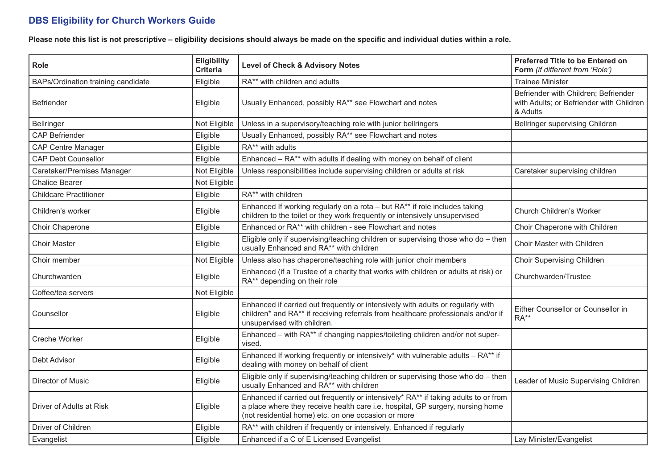## **DBS Eligibility for Church Workers Guide**

**Please note this list is not prescriptive – eligibility decisions should always be made on the specific and individual duties within a role.**

| Role                               | <b>Eligibility</b><br><b>Criteria</b> | <b>Level of Check &amp; Advisory Notes</b>                                                                                                                                                                                   | Preferred Title to be Entered on<br>Form (if different from 'Role')                          |
|------------------------------------|---------------------------------------|------------------------------------------------------------------------------------------------------------------------------------------------------------------------------------------------------------------------------|----------------------------------------------------------------------------------------------|
| BAPs/Ordination training candidate | Eligible                              | RA** with children and adults                                                                                                                                                                                                | <b>Trainee Minister</b>                                                                      |
| <b>Befriender</b>                  | Eligible                              | Usually Enhanced, possibly RA** see Flowchart and notes                                                                                                                                                                      | Befriender with Children; Befriender<br>with Adults; or Befriender with Children<br>& Adults |
| Bellringer                         | Not Eligible                          | Unless in a supervisory/teaching role with junior bellringers                                                                                                                                                                | Bellringer supervising Children                                                              |
| <b>CAP Befriender</b>              | Eligible                              | Usually Enhanced, possibly RA** see Flowchart and notes                                                                                                                                                                      |                                                                                              |
| <b>CAP Centre Manager</b>          | Eligible                              | RA** with adults                                                                                                                                                                                                             |                                                                                              |
| <b>CAP Debt Counsellor</b>         | Eligible                              | Enhanced - RA** with adults if dealing with money on behalf of client                                                                                                                                                        |                                                                                              |
| Caretaker/Premises Manager         | Not Eligible                          | Unless responsibilities include supervising children or adults at risk                                                                                                                                                       | Caretaker supervising children                                                               |
| <b>Chalice Bearer</b>              | Not Eligible                          |                                                                                                                                                                                                                              |                                                                                              |
| <b>Childcare Practitioner</b>      | Eligible                              | RA** with children                                                                                                                                                                                                           |                                                                                              |
| Children's worker                  | Eligible                              | Enhanced If working regularly on a rota - but RA** if role includes taking<br>children to the toilet or they work frequently or intensively unsupervised                                                                     | Church Children's Worker                                                                     |
| Choir Chaperone                    | Eligible                              | Enhanced or RA** with children - see Flowchart and notes                                                                                                                                                                     | Choir Chaperone with Children                                                                |
| <b>Choir Master</b>                | Eligible                              | Eligible only if supervising/teaching children or supervising those who do - then<br>usually Enhanced and RA** with children                                                                                                 | Choir Master with Children                                                                   |
| Choir member                       | Not Eligible                          | Unless also has chaperone/teaching role with junior choir members                                                                                                                                                            | <b>Choir Supervising Children</b>                                                            |
| Churchwarden                       | Eligible                              | Enhanced (if a Trustee of a charity that works with children or adults at risk) or<br>RA** depending on their role                                                                                                           | Churchwarden/Trustee                                                                         |
| Coffee/tea servers                 | Not Eligible                          |                                                                                                                                                                                                                              |                                                                                              |
| Counsellor                         | Eligible                              | Enhanced if carried out frequently or intensively with adults or regularly with<br>children* and RA** if receiving referrals from healthcare professionals and/or if<br>unsupervised with children.                          | Either Counsellor or Counsellor in<br>RA**                                                   |
| <b>Creche Worker</b>               | Eligible                              | Enhanced - with RA** if changing nappies/toileting children and/or not super-<br>vised.                                                                                                                                      |                                                                                              |
| Debt Advisor                       | Eligible                              | Enhanced If working frequently or intensively* with vulnerable adults $- RA**$ if<br>dealing with money on behalf of client                                                                                                  |                                                                                              |
| Director of Music                  | Eligible                              | Eligible only if supervising/teaching children or supervising those who do - then<br>usually Enhanced and RA** with children                                                                                                 | Leader of Music Supervising Children                                                         |
| Driver of Adults at Risk           | Eligible                              | Enhanced if carried out frequently or intensively* RA** if taking adults to or from<br>a place where they receive health care i.e. hospital, GP surgery, nursing home<br>(not residential home) etc. on one occasion or more |                                                                                              |
| Driver of Children                 | Eligible                              | RA** with children if frequently or intensively. Enhanced if regularly                                                                                                                                                       |                                                                                              |
| Evangelist                         | Eligible                              | Enhanced if a C of E Licensed Evangelist                                                                                                                                                                                     | Lay Minister/Evangelist                                                                      |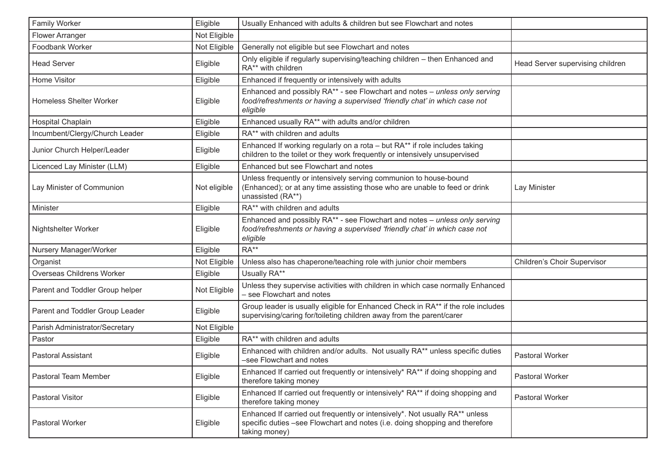| Family Worker                   | Eligible     | Usually Enhanced with adults & children but see Flowchart and notes                                                                                                         |                                  |
|---------------------------------|--------------|-----------------------------------------------------------------------------------------------------------------------------------------------------------------------------|----------------------------------|
| <b>Flower Arranger</b>          | Not Eligible |                                                                                                                                                                             |                                  |
| Foodbank Worker                 | Not Eligible | Generally not eligible but see Flowchart and notes                                                                                                                          |                                  |
| <b>Head Server</b>              | Eligible     | Only eligible if regularly supervising/teaching children - then Enhanced and<br>RA** with children                                                                          | Head Server supervising children |
| <b>Home Visitor</b>             | Eligible     | Enhanced if frequently or intensively with adults                                                                                                                           |                                  |
| <b>Homeless Shelter Worker</b>  | Eligible     | Enhanced and possibly RA** - see Flowchart and notes - unless only serving<br>food/refreshments or having a supervised 'friendly chat' in which case not<br>eligible        |                                  |
| Hospital Chaplain               | Eligible     | Enhanced usually RA** with adults and/or children                                                                                                                           |                                  |
| Incumbent/Clergy/Church Leader  | Eligible     | RA** with children and adults                                                                                                                                               |                                  |
| Junior Church Helper/Leader     | Eligible     | Enhanced If working regularly on a rota - but RA** if role includes taking<br>children to the toilet or they work frequently or intensively unsupervised                    |                                  |
| Licenced Lay Minister (LLM)     | Eligible     | Enhanced but see Flowchart and notes                                                                                                                                        |                                  |
| Lay Minister of Communion       | Not eligible | Unless frequently or intensively serving communion to house-bound<br>(Enhanced); or at any time assisting those who are unable to feed or drink<br>unassisted (RA**)        | Lay Minister                     |
| Minister                        | Eligible     | RA** with children and adults                                                                                                                                               |                                  |
| Nightshelter Worker             | Eligible     | Enhanced and possibly RA** - see Flowchart and notes - unless only serving<br>food/refreshments or having a supervised 'friendly chat' in which case not<br>eligible        |                                  |
| Nursery Manager/Worker          | Eligible     | $RA**$                                                                                                                                                                      |                                  |
| Organist                        | Not Eligible | Unless also has chaperone/teaching role with junior choir members                                                                                                           | Children's Choir Supervisor      |
| Overseas Childrens Worker       | Eligible     | Usually RA**                                                                                                                                                                |                                  |
| Parent and Toddler Group helper | Not Eligible | Unless they supervise activities with children in which case normally Enhanced<br>- see Flowchart and notes                                                                 |                                  |
| Parent and Toddler Group Leader | Eligible     | Group leader is usually eligible for Enhanced Check in RA** if the role includes<br>supervising/caring for/toileting children away from the parent/carer                    |                                  |
| Parish Administrator/Secretary  | Not Eligible |                                                                                                                                                                             |                                  |
| Pastor                          | Eligible     | RA** with children and adults                                                                                                                                               |                                  |
| <b>Pastoral Assistant</b>       | Eligible     | Enhanced with children and/or adults. Not usually RA** unless specific duties<br>-see Flowchart and notes                                                                   | <b>Pastoral Worker</b>           |
| Pastoral Team Member            | Eligible     | Enhanced If carried out frequently or intensively* RA** if doing shopping and<br>therefore taking money                                                                     | Pastoral Worker                  |
| Pastoral Visitor                | Eligible     | Enhanced If carried out frequently or intensively* RA** if doing shopping and<br>therefore taking money                                                                     | Pastoral Worker                  |
| Pastoral Worker                 | Eligible     | Enhanced If carried out frequently or intensively*. Not usually RA** unless<br>specific duties -see Flowchart and notes (i.e. doing shopping and therefore<br>taking money) |                                  |